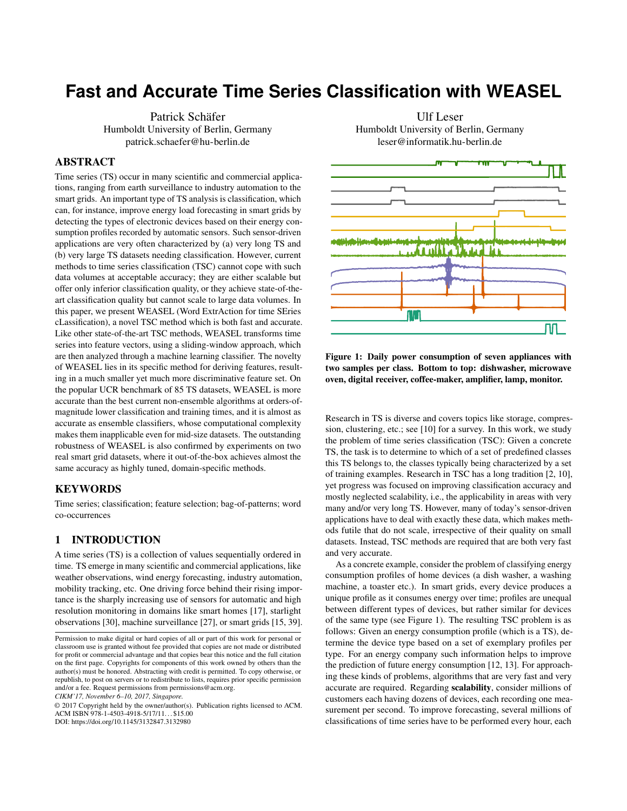# **Fast and Accurate Time Series Classification with WEASEL**

Patrick Schäfer Humboldt University of Berlin, Germany patrick.schaefer@hu-berlin.de

## ABSTRACT

Time series (TS) occur in many scientific and commercial applications, ranging from earth surveillance to industry automation to the smart grids. An important type of TS analysis is classification, which can, for instance, improve energy load forecasting in smart grids by detecting the types of electronic devices based on their energy consumption profiles recorded by automatic sensors. Such sensor-driven applications are very often characterized by (a) very long TS and (b) very large TS datasets needing classification. However, current methods to time series classification (TSC) cannot cope with such data volumes at acceptable accuracy; they are either scalable but offer only inferior classification quality, or they achieve state-of-theart classification quality but cannot scale to large data volumes. In this paper, we present WEASEL (Word ExtrAction for time SEries cLassification), a novel TSC method which is both fast and accurate. Like other state-of-the-art TSC methods, WEASEL transforms time series into feature vectors, using a sliding-window approach, which are then analyzed through a machine learning classifier. The novelty of WEASEL lies in its specific method for deriving features, resulting in a much smaller yet much more discriminative feature set. On the popular UCR benchmark of 85 TS datasets, WEASEL is more accurate than the best current non-ensemble algorithms at orders-ofmagnitude lower classification and training times, and it is almost as accurate as ensemble classifiers, whose computational complexity makes them inapplicable even for mid-size datasets. The outstanding robustness of WEASEL is also confirmed by experiments on two real smart grid datasets, where it out-of-the-box achieves almost the same accuracy as highly tuned, domain-specific methods.

# **KEYWORDS**

Time series; classification; feature selection; bag-of-patterns; word co-occurrences

# 1 INTRODUCTION

A time series (TS) is a collection of values sequentially ordered in time. TS emerge in many scientific and commercial applications, like weather observations, wind energy forecasting, industry automation, mobility tracking, etc. One driving force behind their rising importance is the sharply increasing use of sensors for automatic and high resolution monitoring in domains like smart homes [\[17\]](#page-9-0), starlight observations [\[30\]](#page-9-1), machine surveillance [\[27\]](#page-9-2), or smart grids [\[15,](#page-9-3) [39\]](#page-9-4).

*CIKM'17, November 6–10, 2017, Singapore.*

Ulf Leser Humboldt University of Berlin, Germany leser@informatik.hu-berlin.de

<span id="page-0-0"></span>

Figure 1: Daily power consumption of seven appliances with two samples per class. Bottom to top: dishwasher, microwave oven, digital receiver, coffee-maker, amplifier, lamp, monitor.

Research in TS is diverse and covers topics like storage, compression, clustering, etc.; see [\[10\]](#page-8-0) for a survey. In this work, we study the problem of time series classification (TSC): Given a concrete TS, the task is to determine to which of a set of predefined classes this TS belongs to, the classes typically being characterized by a set of training examples. Research in TSC has a long tradition [\[2,](#page-8-1) [10\]](#page-8-0), yet progress was focused on improving classification accuracy and mostly neglected scalability, i.e., the applicability in areas with very many and/or very long TS. However, many of today's sensor-driven applications have to deal with exactly these data, which makes methods futile that do not scale, irrespective of their quality on small datasets. Instead, TSC methods are required that are both very fast and very accurate.

As a concrete example, consider the problem of classifying energy consumption profiles of home devices (a dish washer, a washing machine, a toaster etc.). In smart grids, every device produces a unique profile as it consumes energy over time; profiles are unequal between different types of devices, but rather similar for devices of the same type (see Figure [1\)](#page-0-0). The resulting TSC problem is as follows: Given an energy consumption profile (which is a TS), determine the device type based on a set of exemplary profiles per type. For an energy company such information helps to improve the prediction of future energy consumption [\[12,](#page-9-5) [13\]](#page-9-6). For approaching these kinds of problems, algorithms that are very fast and very accurate are required. Regarding scalability, consider millions of customers each having dozens of devices, each recording one measurement per second. To improve forecasting, several millions of classifications of time series have to be performed every hour, each

Permission to make digital or hard copies of all or part of this work for personal or classroom use is granted without fee provided that copies are not made or distributed for profit or commercial advantage and that copies bear this notice and the full citation on the first page. Copyrights for components of this work owned by others than the author(s) must be honored. Abstracting with credit is permitted. To copy otherwise, or republish, to post on servers or to redistribute to lists, requires prior specific permission and/or a fee. Request permissions from permissions@acm.org.

<sup>©</sup> 2017 Copyright held by the owner/author(s). Publication rights licensed to ACM. ACM ISBN 978-1-4503-4918-5/17/11...\$15.00 DOI: https://doi.org/10.1145/3132847.3132980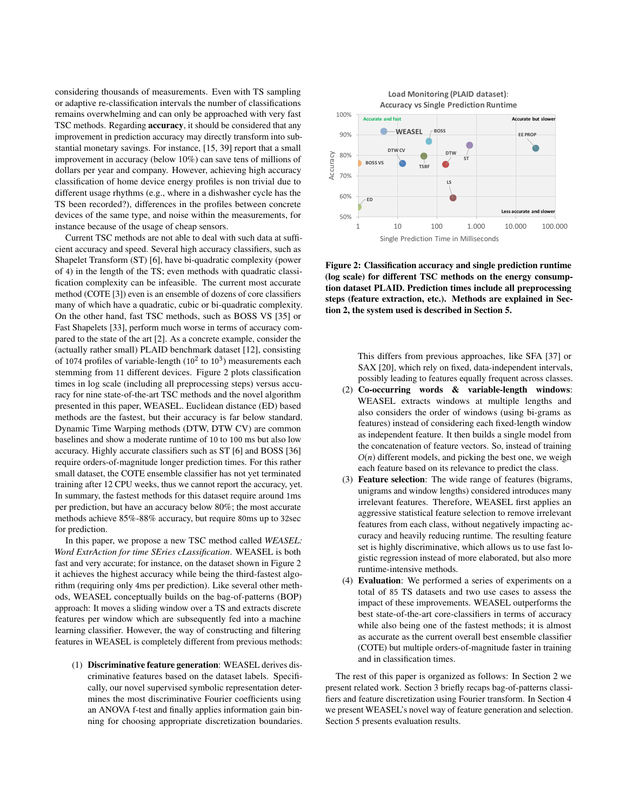considering thousands of measurements. Even with TS sampling or adaptive re-classification intervals the number of classifications remains overwhelming and can only be approached with very fast TSC methods. Regarding accuracy, it should be considered that any improvement in prediction accuracy may directly transform into substantial monetary savings. For instance, [\[15,](#page-9-3) [39\]](#page-9-4) report that a small improvement in accuracy (below 10%) can save tens of millions of dollars per year and company. However, achieving high accuracy classification of home device energy profiles is non trivial due to different usage rhythms (e.g., where in a dishwasher cycle has the TS been recorded?), differences in the profiles between concrete devices of the same type, and noise within the measurements, for instance because of the usage of cheap sensors.

Current TSC methods are not able to deal with such data at sufficient accuracy and speed. Several high accuracy classifiers, such as Shapelet Transform (ST) [\[6\]](#page-8-2), have bi-quadratic complexity (power of 4) in the length of the TS; even methods with quadratic classification complexity can be infeasible. The current most accurate method (COTE [\[3\]](#page-8-3)) even is an ensemble of dozens of core classifiers many of which have a quadratic, cubic or bi-quadratic complexity. On the other hand, fast TSC methods, such as BOSS VS [\[35\]](#page-9-7) or Fast Shapelets [\[33\]](#page-9-8), perform much worse in terms of accuracy compared to the state of the art [\[2\]](#page-8-1). As a concrete example, consider the (actually rather small) PLAID benchmark dataset [\[12\]](#page-9-5), consisting of 1074 profiles of variable-length  $(10^2 \text{ to } 10^3)$  measurements each stemming from 11 different devices. Figure [2](#page-1-0) plots classification times in log scale (including all preprocessing steps) versus accuracy for nine state-of-the-art TSC methods and the novel algorithm presented in this paper, WEASEL. Euclidean distance (ED) based methods are the fastest, but their accuracy is far below standard. Dynamic Time Warping methods (DTW, DTW CV) are common baselines and show a moderate runtime of 10 to 100 ms but also low accuracy. Highly accurate classifiers such as ST [\[6\]](#page-8-2) and BOSS [\[36\]](#page-9-9) require orders-of-magnitude longer prediction times. For this rather small dataset, the COTE ensemble classifier has not yet terminated training after 12 CPU weeks, thus we cannot report the accuracy, yet. In summary, the fastest methods for this dataset require around 1ms per prediction, but have an accuracy below 80%; the most accurate methods achieve 85%-88% accuracy, but require 80ms up to 32sec for prediction.

In this paper, we propose a new TSC method called *WEASEL: Word ExtrAction for time SEries cLassification*. WEASEL is both fast and very accurate; for instance, on the dataset shown in Figure [2](#page-1-0) it achieves the highest accuracy while being the third-fastest algorithm (requiring only 4ms per prediction). Like several other methods, WEASEL conceptually builds on the bag-of-patterns (BOP) approach: It moves a sliding window over a TS and extracts discrete features per window which are subsequently fed into a machine learning classifier. However, the way of constructing and filtering features in WEASEL is completely different from previous methods:

(1) Discriminative feature generation: WEASEL derives discriminative features based on the dataset labels. Specifically, our novel supervised symbolic representation determines the most discriminative Fourier coefficients using an ANOVA f-test and finally applies information gain binning for choosing appropriate discretization boundaries.

<span id="page-1-0"></span>

Figure 2: Classification accuracy and single prediction runtime (log scale) for different TSC methods on the energy consumption dataset PLAID. Prediction times include all preprocessing steps (feature extraction, etc.). Methods are explained in Section 2, the system used is described in Section 5.

This differs from previous approaches, like SFA [\[37\]](#page-9-10) or SAX [\[20\]](#page-9-11), which rely on fixed, data-independent intervals, possibly leading to features equally frequent across classes.

- (2) Co-occurring words & variable-length windows: WEASEL extracts windows at multiple lengths and also considers the order of windows (using bi-grams as features) instead of considering each fixed-length window as independent feature. It then builds a single model from the concatenation of feature vectors. So, instead of training  $O(n)$  different models, and picking the best one, we weigh each feature based on its relevance to predict the class.
- (3) Feature selection: The wide range of features (bigrams, unigrams and window lengths) considered introduces many irrelevant features. Therefore, WEASEL first applies an aggressive statistical feature selection to remove irrelevant features from each class, without negatively impacting accuracy and heavily reducing runtime. The resulting feature set is highly discriminative, which allows us to use fast logistic regression instead of more elaborated, but also more runtime-intensive methods.
- (4) Evaluation: We performed a series of experiments on a total of 85 TS datasets and two use cases to assess the impact of these improvements. WEASEL outperforms the best state-of-the-art core-classifiers in terms of accuracy while also being one of the fastest methods; it is almost as accurate as the current overall best ensemble classifier (COTE) but multiple orders-of-magnitude faster in training and in classification times.

The rest of this paper is organized as follows: In Section 2 we present related work. Section 3 briefly recaps bag-of-patterns classifiers and feature discretization using Fourier transform. In Section 4 we present WEASEL's novel way of feature generation and selection. Section 5 presents evaluation results.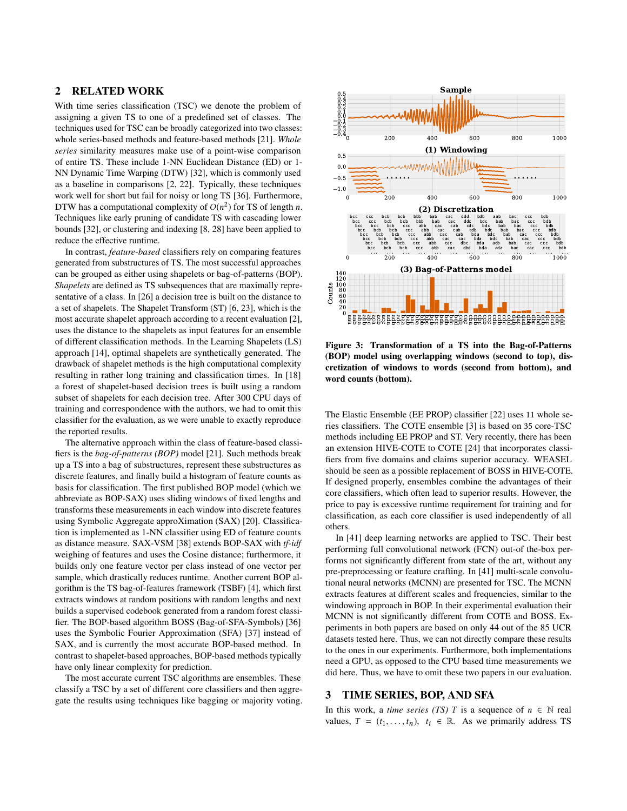## 2 RELATED WORK

With time series classification (TSC) we denote the problem of assigning a given TS to one of a predefined set of classes. The techniques used for TSC can be broadly categorized into two classes: whole series-based methods and feature-based methods [\[21\]](#page-9-12). *Whole series* similarity measures make use of a point-wise comparison of entire TS. These include 1-NN Euclidean Distance (ED) or 1- NN Dynamic Time Warping (DTW) [\[32\]](#page-9-13), which is commonly used as a baseline in comparisons [\[2,](#page-8-1) [22\]](#page-9-14). Typically, these techniques work well for short but fail for noisy or long TS [\[36\]](#page-9-9). Furthermore, DTW has a computational complexity of  $O(n^2)$  for TS of length n.<br>Techniques like early pruning of candidate TS with cascading lower Techniques like early pruning of candidate TS with cascading lower bounds [\[32\]](#page-9-13), or clustering and indexing [\[8,](#page-8-4) [28\]](#page-9-15) have been applied to reduce the effective runtime.

In contrast, *feature-based* classifiers rely on comparing features generated from substructures of TS. The most successful approaches can be grouped as either using shapelets or bag-of-patterns (BOP). *Shapelets* are defined as TS subsequences that are maximally representative of a class. In [\[26\]](#page-9-16) a decision tree is built on the distance to a set of shapelets. The Shapelet Transform (ST) [\[6,](#page-8-2) [23\]](#page-9-17), which is the most accurate shapelet approach according to a recent evaluation [\[2\]](#page-8-1), uses the distance to the shapelets as input features for an ensemble of different classification methods. In the Learning Shapelets (LS) approach [\[14\]](#page-9-18), optimal shapelets are synthetically generated. The drawback of shapelet methods is the high computational complexity resulting in rather long training and classification times. In [\[18\]](#page-9-19) a forest of shapelet-based decision trees is built using a random subset of shapelets for each decision tree. After 300 CPU days of training and correspondence with the authors, we had to omit this classifier for the evaluation, as we were unable to exactly reproduce the reported results.

The alternative approach within the class of feature-based classifiers is the *bag-of-patterns (BOP)* model [\[21\]](#page-9-12). Such methods break up a TS into a bag of substructures, represent these substructures as discrete features, and finally build a histogram of feature counts as basis for classification. The first published BOP model (which we abbreviate as BOP-SAX) uses sliding windows of fixed lengths and transforms these measurements in each window into discrete features using Symbolic Aggregate approXimation (SAX) [\[20\]](#page-9-11). Classification is implemented as 1-NN classifier using ED of feature counts as distance measure. SAX-VSM [\[38\]](#page-9-20) extends BOP-SAX with *tf-idf* weighing of features and uses the Cosine distance; furthermore, it builds only one feature vector per class instead of one vector per sample, which drastically reduces runtime. Another current BOP algorithm is the TS bag-of-features framework (TSBF) [\[4\]](#page-8-5), which first extracts windows at random positions with random lengths and next builds a supervised codebook generated from a random forest classifier. The BOP-based algorithm BOSS (Bag-of-SFA-Symbols) [\[36\]](#page-9-9) uses the Symbolic Fourier Approximation (SFA) [\[37\]](#page-9-10) instead of SAX, and is currently the most accurate BOP-based method. In contrast to shapelet-based approaches, BOP-based methods typically have only linear complexity for prediction.

The most accurate current TSC algorithms are ensembles. These classify a TSC by a set of different core classifiers and then aggregate the results using techniques like bagging or majority voting.

<span id="page-2-0"></span>

Figure 3: Transformation of a TS into the Bag-of-Patterns (BOP) model using overlapping windows (second to top), discretization of windows to words (second from bottom), and word counts (bottom).

The Elastic Ensemble (EE PROP) classifier [\[22\]](#page-9-14) uses 11 whole series classifiers. The COTE ensemble [\[3\]](#page-8-3) is based on 35 core-TSC methods including EE PROP and ST. Very recently, there has been an extension HIVE-COTE to COTE [\[24\]](#page-9-21) that incorporates classifiers from five domains and claims superior accuracy. WEASEL should be seen as a possible replacement of BOSS in HIVE-COTE. If designed properly, ensembles combine the advantages of their core classifiers, which often lead to superior results. However, the price to pay is excessive runtime requirement for training and for classification, as each core classifier is used independently of all others.

In [\[41\]](#page-9-22) deep learning networks are applied to TSC. Their best performing full convolutional network (FCN) out-of the-box performs not significantly different from state of the art, without any pre-preprocessing or feature crafting. In [\[41\]](#page-9-22) multi-scale convolutional neural networks (MCNN) are presented for TSC. The MCNN extracts features at different scales and frequencies, similar to the windowing approach in BOP. In their experimental evaluation their MCNN is not significantly different from COTE and BOSS. Experiments in both papers are based on only 44 out of the 85 UCR datasets tested here. Thus, we can not directly compare these results to the ones in our experiments. Furthermore, both implementations need a GPU, as opposed to the CPU based time measurements we did here. Thus, we have to omit these two papers in our evaluation.

#### 3 TIME SERIES, BOP, AND SFA

In this work, a *time series (TS)* T is a sequence of  $n \in \mathbb{N}$  real values,  $T = (t_1, \ldots, t_n), t_i \in \mathbb{R}$ . As we primarily address TS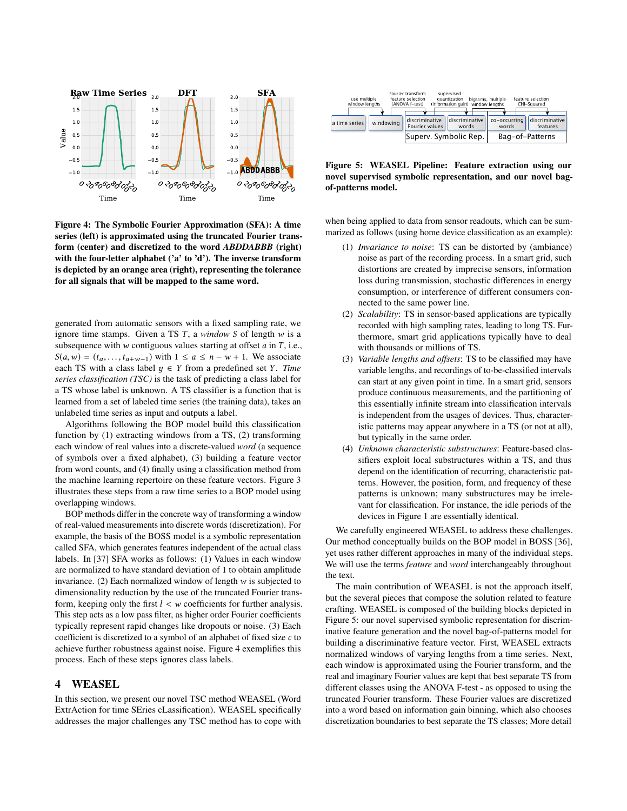<span id="page-3-0"></span>

Figure 4: The Symbolic Fourier Approximation (SFA): A time series (left) is approximated using the truncated Fourier transform (center) and discretized to the word *ABDDABBB* (right) with the four-letter alphabet ('a' to 'd'). The inverse transform is depicted by an orange area (right), representing the tolerance for all signals that will be mapped to the same word.

generated from automatic sensors with a fixed sampling rate, we ignore time stamps. Given a TS T, a *window* S of length w is a subsequence with w contiguous values starting at offset  $a$  in  $T$ , i.e.,  $S(a, w) = (t_a, \ldots, t_{a+w-1})$  with  $1 \le a \le n - w + 1$ . We associate each TS with a class label  $y \in Y$  from a predefined set Y. *Time series classification (TSC)* is the task of predicting a class label for a TS whose label is unknown. A TS classifier is a function that is learned from a set of labeled time series (the training data), takes an unlabeled time series as input and outputs a label.

Algorithms following the BOP model build this classification function by (1) extracting windows from a TS, (2) transforming each window of real values into a discrete-valued *word* (a sequence of symbols over a fixed alphabet), (3) building a feature vector from word counts, and (4) finally using a classification method from the machine learning repertoire on these feature vectors. Figure [3](#page-2-0) illustrates these steps from a raw time series to a BOP model using overlapping windows.

BOP methods differ in the concrete way of transforming a window of real-valued measurements into discrete words (discretization). For example, the basis of the BOSS model is a symbolic representation called SFA, which generates features independent of the actual class labels. In [\[37\]](#page-9-10) SFA works as follows: (1) Values in each window are normalized to have standard deviation of 1 to obtain amplitude invariance. (2) Each normalized window of length  $w$  is subjected to dimensionality reduction by the use of the truncated Fourier transform, keeping only the first  $l < w$  coefficients for further analysis. This step acts as a low pass filter, as higher order Fourier coefficients typically represent rapid changes like dropouts or noise. (3) Each coefficient is discretized to a symbol of an alphabet of fixed size c to achieve further robustness against noise. Figure [4](#page-3-0) exemplifies this process. Each of these steps ignores class labels.

#### 4 WEASEL

In this section, we present our novel TSC method WEASEL (Word ExtrAction for time SEries cLassification). WEASEL specifically addresses the major challenges any TSC method has to cope with

<span id="page-3-1"></span>

| use multiple<br>window lengths |           | Fourier transform<br>feature selection<br>(ANOVA f-test) | supervised<br>quantization<br>(information gain) | bigrams, multiple<br>window lengths | feature selection<br>CHI-Squared |
|--------------------------------|-----------|----------------------------------------------------------|--------------------------------------------------|-------------------------------------|----------------------------------|
| a time series                  | windowing | discriminative<br>Fourier values                         | discriminative<br>words                          | co-occurring<br>words               | discriminative<br>features       |
| Superv. Symbolic Rep.          |           |                                                          | Bag-of-Patterns                                  |                                     |                                  |

Figure 5: WEASEL Pipeline: Feature extraction using our novel supervised symbolic representation, and our novel bagof-patterns model.

when being applied to data from sensor readouts, which can be summarized as follows (using home device classification as an example):

- (1) *Invariance to noise*: TS can be distorted by (ambiance) noise as part of the recording process. In a smart grid, such distortions are created by imprecise sensors, information loss during transmission, stochastic differences in energy consumption, or interference of different consumers connected to the same power line.
- (2) *Scalability*: TS in sensor-based applications are typically recorded with high sampling rates, leading to long TS. Furthermore, smart grid applications typically have to deal with thousands or millions of TS.
- (3) *Variable lengths and offsets*: TS to be classified may have variable lengths, and recordings of to-be-classified intervals can start at any given point in time. In a smart grid, sensors produce continuous measurements, and the partitioning of this essentially infinite stream into classification intervals is independent from the usages of devices. Thus, characteristic patterns may appear anywhere in a TS (or not at all), but typically in the same order.
- (4) *Unknown characteristic substructures*: Feature-based classifiers exploit local substructures within a TS, and thus depend on the identification of recurring, characteristic patterns. However, the position, form, and frequency of these patterns is unknown; many substructures may be irrelevant for classification. For instance, the idle periods of the devices in Figure [1](#page-0-0) are essentially identical.

We carefully engineered WEASEL to address these challenges. Our method conceptually builds on the BOP model in BOSS [\[36\]](#page-9-9), yet uses rather different approaches in many of the individual steps. We will use the terms *feature* and *word* interchangeably throughout the text.

The main contribution of WEASEL is not the approach itself, but the several pieces that compose the solution related to feature crafting. WEASEL is composed of the building blocks depicted in Figure [5:](#page-3-1) our novel supervised symbolic representation for discriminative feature generation and the novel bag-of-patterns model for building a discriminative feature vector. First, WEASEL extracts normalized windows of varying lengths from a time series. Next, each window is approximated using the Fourier transform, and the real and imaginary Fourier values are kept that best separate TS from different classes using the ANOVA F-test - as opposed to using the truncated Fourier transform. These Fourier values are discretized into a word based on information gain binning, which also chooses discretization boundaries to best separate the TS classes; More detail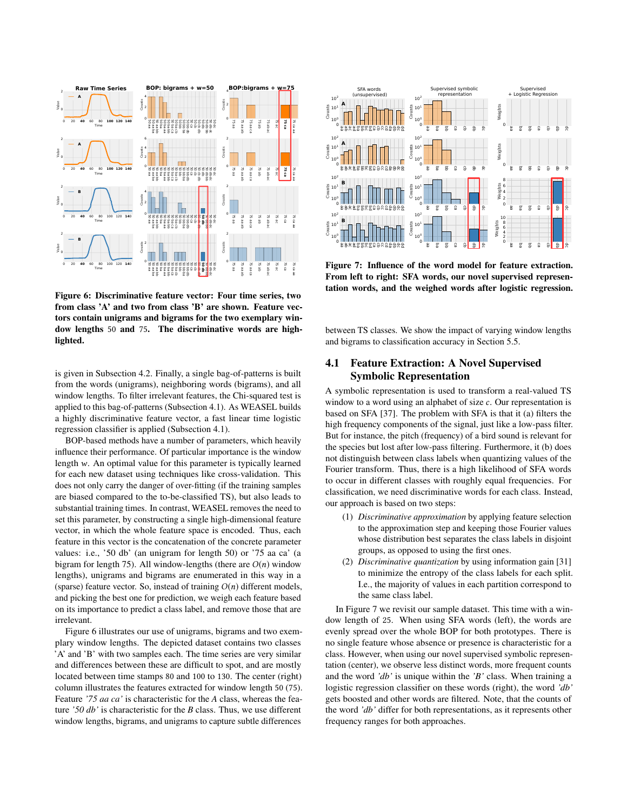<span id="page-4-0"></span>

Figure 6: Discriminative feature vector: Four time series, two from class 'A' and two from class 'B' are shown. Feature vectors contain unigrams and bigrams for the two exemplary window lengths 50 and 75. The discriminative words are highlighted.

is given in Subsection 4.2. Finally, a single bag-of-patterns is built from the words (unigrams), neighboring words (bigrams), and all window lengths. To filter irrelevant features, the Chi-squared test is applied to this bag-of-patterns (Subsection 4.1). As WEASEL builds a highly discriminative feature vector, a fast linear time logistic regression classifier is applied (Subsection 4.1).

BOP-based methods have a number of parameters, which heavily influence their performance. Of particular importance is the window length w. An optimal value for this parameter is typically learned for each new dataset using techniques like cross-validation. This does not only carry the danger of over-fitting (if the training samples are biased compared to the to-be-classified TS), but also leads to substantial training times. In contrast, WEASEL removes the need to set this parameter, by constructing a single high-dimensional feature vector, in which the whole feature space is encoded. Thus, each feature in this vector is the concatenation of the concrete parameter values: i.e., '50 db' (an unigram for length 50) or '75 aa ca' (a bigram for length 75). All window-lengths (there are  $O(n)$  window lengths), unigrams and bigrams are enumerated in this way in a (sparse) feature vector. So, instead of training  $O(n)$  different models, and picking the best one for prediction, we weigh each feature based on its importance to predict a class label, and remove those that are irrelevant.

Figure [6](#page-4-0) illustrates our use of unigrams, bigrams and two exemplary window lengths. The depicted dataset contains two classes 'A' and 'B' with two samples each. The time series are very similar and differences between these are difficult to spot, and are mostly located between time stamps 80 and 100 to 130. The center (right) column illustrates the features extracted for window length 50 (75). Feature *'75 aa ca'* is characteristic for the *A* class, whereas the feature *'50 db'* is characteristic for the *B* class. Thus, we use different window lengths, bigrams, and unigrams to capture subtle differences

<span id="page-4-1"></span>

Figure 7: Influence of the word model for feature extraction. From left to right: SFA words, our novel supervised representation words, and the weighed words after logistic regression.

between TS classes. We show the impact of varying window lengths and bigrams to classification accuracy in Section [5.5.](#page-7-0)

# 4.1 Feature Extraction: A Novel Supervised Symbolic Representation

A symbolic representation is used to transform a real-valued TS window to a word using an alphabet of size c. Our representation is based on SFA [\[37\]](#page-9-10). The problem with SFA is that it (a) filters the high frequency components of the signal, just like a low-pass filter. But for instance, the pitch (frequency) of a bird sound is relevant for the species but lost after low-pass filtering. Furthermore, it (b) does not distinguish between class labels when quantizing values of the Fourier transform. Thus, there is a high likelihood of SFA words to occur in different classes with roughly equal frequencies. For classification, we need discriminative words for each class. Instead, our approach is based on two steps:

- (1) *Discriminative approximation* by applying feature selection to the approximation step and keeping those Fourier values whose distribution best separates the class labels in disjoint groups, as opposed to using the first ones.
- (2) *Discriminative quantization* by using information gain [\[31\]](#page-9-23) to minimize the entropy of the class labels for each split. I.e., the majority of values in each partition correspond to the same class label.

In Figure [7](#page-4-1) we revisit our sample dataset. This time with a window length of 25. When using SFA words (left), the words are evenly spread over the whole BOP for both prototypes. There is no single feature whose absence or presence is characteristic for a class. However, when using our novel supervised symbolic representation (center), we observe less distinct words, more frequent counts and the word *'db'* is unique within the *'B'* class. When training a logistic regression classifier on these words (right), the word *'db'* gets boosted and other words are filtered. Note, that the counts of the word *'db'* differ for both representations, as it represents other frequency ranges for both approaches.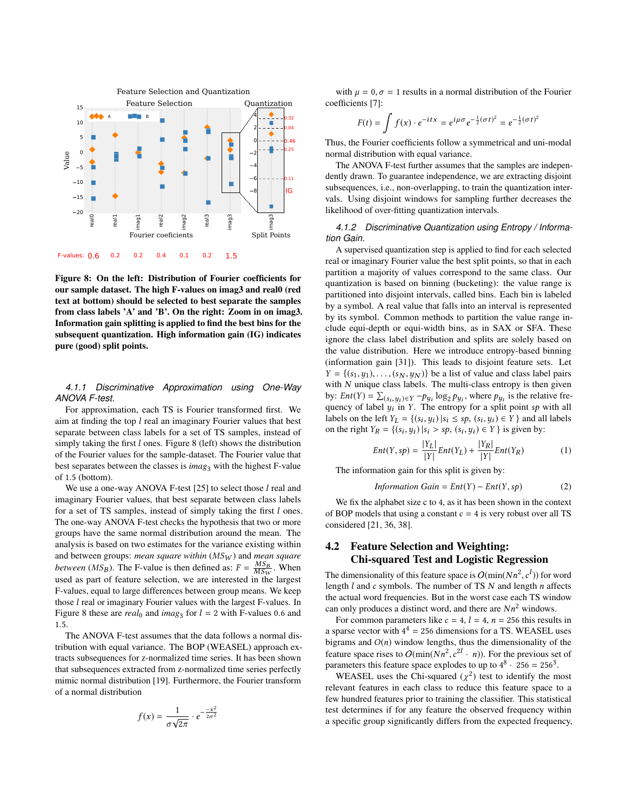<span id="page-5-0"></span>

Figure 8: On the left: Distribution of Fourier coefficients for our sample dataset. The high F-values on imag3 and real0 (red text at bottom) should be selected to best separate the samples from class labels 'A' and 'B'. On the right: Zoom in on imag3. Information gain splitting is applied to find the best bins for the subsequent quantization. High information gain (IG) indicates pure (good) split points.

#### *4.1.1 Discriminative Approximation using One-Way ANOVA F-test.*

For approximation, each TS is Fourier transformed first. We aim at finding the top  $l$  real an imaginary Fourier values that best separate between class labels for a set of TS samples, instead of simply taking the first l ones. Figure [8](#page-5-0) (left) shows the distribution of the Fourier values for the sample-dataset. The Fourier value that best separates between the classes is *imag*<sub>3</sub> with the highest F-value of <sup>1</sup>.<sup>5</sup> (bottom).

We use a one-way ANOVA F-test  $[25]$  to select those  $l$  real and imaginary Fourier values, that best separate between class labels for a set of TS samples, instead of simply taking the first l ones. The one-way ANOVA F-test checks the hypothesis that two or more groups have the same normal distribution around the mean. The analysis is based on two estimates for the variance existing within and between groups: *mean square within* (MSW ) and *mean square between* (*MS<sub>B</sub>*). The F-value is then defined as:  $F = \frac{MSB}{MSB}$ . When used as part of feature selection, we are interested in the largest F-values, equal to large differences between group means. We keep those l real or imaginary Fourier values with the largest F-values. In Figure [8](#page-5-0) these are *real*<sup>0</sup> and *imag*<sub>3</sub> for  $l = 2$  with F-values 0.6 and  $l = 1$ 1.5.

The ANOVA F-test assumes that the data follows a normal distribution with equal variance. The BOP (WEASEL) approach extracts subsequences for z-normalized time series. It has been shown that subsequences extracted from z-normalized time series perfectly mimic normal distribution [\[19\]](#page-9-25). Furthermore, the Fourier transform of a normal distribution

$$
f(x) = \frac{1}{\sigma\sqrt{2\pi}} \cdot e^{-\frac{-x^2}{2\sigma^2}}
$$

with  $\mu = 0$ ,  $\sigma = 1$  results in a normal distribution of the Fourier coefficients [\[7\]](#page-8-6):

$$
F(t) = \int f(x) \cdot e^{-itx} = e^{i\mu\sigma} e^{-\frac{1}{2}(\sigma t)^2} = e^{-\frac{1}{2}(\sigma t)^2}
$$

Thus, the Fourier coefficients follow a symmetrical and uni-modal normal distribution with equal variance.

The ANOVA F-test further assumes that the samples are independently drawn. To guarantee independence, we are extracting disjoint subsequences, i.e., non-overlapping, to train the quantization intervals. Using disjoint windows for sampling further decreases the likelihood of over-fitting quantization intervals.

*4.1.2 Discriminative Quantization using Entropy / Information Gain.*

A supervised quantization step is applied to find for each selected real or imaginary Fourier value the best split points, so that in each partition a majority of values correspond to the same class. Our quantization is based on binning (bucketing): the value range is partitioned into disjoint intervals, called bins. Each bin is labeled by a symbol. A real value that falls into an interval is represented by its symbol. Common methods to partition the value range include equi-depth or equi-width bins, as in SAX or SFA. These ignore the class label distribution and splits are solely based on the value distribution. Here we introduce entropy-based binning (information gain [\[31\]](#page-9-23)). This leads to disjoint feature sets. Let  $Y = \{(s_1, y_1), \ldots, (s_N, y_N)\}\$ be a list of value and class label pairs with  $N$  unique class labels. The multi-class entropy is then given by:  $Ent(Y) = \sum_{(s_i, y_i) \in Y} -p_{y_i} \log_2 p_{y_i}$ , where  $p_{y_i}$  is the relative frequency of label  $y_i$  in  $Y$ . The entropy for a split point so with all quency of label  $y_i$  in Y. The entropy for a split point sp with all<br>labels on the left  $y_i = Y(x_i, y_i)$  is  $\leq$  so  $(x_i, y_i) \in V$  and all labels labels on the left  $Y_L = \{(s_i, y_i) | s_i \le sp, (s_i, y_i) \in Y\}$  and all labels<br>on the right  $Y_D = f(s_i, y_i) | s_i \ge sp$ ,  $(s_i, y_i) \in Y\}$  is given by: on the right  $Y_R = \{(s_i, y_i) | s_i > sp, (s_i, y_i) \in Y\}$  is given by:

$$
Ent(Y, sp) = \frac{|Y_L|}{|Y|} Ent(Y_L) + \frac{|Y_R|}{|Y|} Ent(Y_R)
$$
 (1)

 $\lim_{Y \to \infty} \frac{|Y|}{|Y|} \lim_{Y \to \infty} \frac{|Y|}{|Y|} \lim_{Y \to \infty}$ <br>The information gain for this split is given by:

$$
Information Gain = Ent(Y) - Ent(Y, sp)
$$
 (2)

We fix the alphabet size c to 4, as it has been shown in the context of BOP models that using a constant  $c = 4$  is very robust over all TS considered [\[21,](#page-9-12) [36,](#page-9-9) [38\]](#page-9-20).

# 4.2 Feature Selection and Weighting: Chi-squared Test and Logistic Regression

The dimensionality of this feature space is  $O(\min(Nn^2, c^l))$  for word<br>length *l* and *c* symbols. The number of TS N and length *n* affects length  $l$  and c symbols. The number of TS  $N$  and length  $n$  affects the actual word frequencies. But in the worst case each TS window the actual word frequencies. But in the worst case each TS window can only produces a distinct word, and there are  $Nn^2$  windows.

For common parameters like  $c = 4$ ,  $l = 4$ ,  $n = 256$  this results in a sparse vector with  $4^4 = 256$  dimensions for a TS. WEASEL uses bigrams and  $O(n)$  window lengths, thus the dimensionality of the feature space rises to  $O(\min(Nn^2, c^{2l} \cdot n))$ . For the previous set of parameters this feature space explodes to up to  $A^8$ . 256 – 256<sup>3</sup> parameters this feature space explodes to up to  $4^8 \cdot 256 = 256^3$ .

WEASEL uses the Chi-squared  $(\chi^2)$  test to identify the most<br>event features in each class to reduce this feature space to a relevant features in each class to reduce this feature space to a few hundred features prior to training the classifier. This statistical test determines if for any feature the observed frequency within a specific group significantly differs from the expected frequency,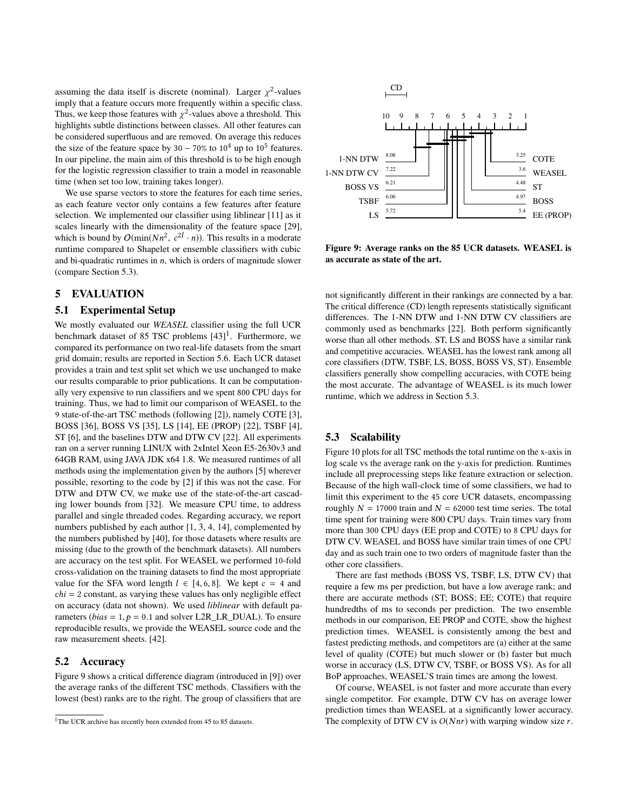assuming the data itself is discrete (nominal). Larger  $\chi^2$ -values<br>imply that a feature occurs more frequently within a specific class imply that a feature occurs more frequently within a specific class. Thus, we keep those features with  $\chi^2$ -values above a threshold. This highlights subtle distinctions between classes. All other features can highlights subtle distinctions between classes. All other features can be considered superfluous and are removed. On average this reduces the size of the feature space by  $30 - 70\%$  to  $10^4$  up to  $10^5$  features. In our pipeline, the main aim of this threshold is to be high enough for the logistic regression classifier to train a model in reasonable time (when set too low, training takes longer).

We use sparse vectors to store the features for each time series, as each feature vector only contains a few features after feature selection. We implemented our classifier using liblinear [\[11\]](#page-9-26) as it scales linearly with the dimensionality of the feature space [\[29\]](#page-9-27), which is bound by  $O(\min(Nn^2, c^{2l} \cdot n))$ . This results in a moderate<br>runtime compared to Shapelet or ensemble classifiers with cubic , c runtime compared to Shapelet or ensemble classifiers with cubic and bi-quadratic runtimes in  $n$ , which is orders of magnitude slower (compare Section 5.3).

#### 5 EVALUATION

#### 5.1 Experimental Setup

We mostly evaluated our *WEASEL* classifier using the full UCR benchmark dataset of 85 TSC problems [\[43\]](#page-9-28)<sup>[1](#page-6-0)</sup>. Furthermore, we compared its performance on two real-life datasets from the smart grid domain; results are reported in Section [5.6.](#page-7-1) Each UCR dataset provides a train and test split set which we use unchanged to make our results comparable to prior publications. It can be computationally very expensive to run classifiers and we spent 800 CPU days for training. Thus, we had to limit our comparison of WEASEL to the 9 state-of-the-art TSC methods (following [\[2\]](#page-8-1)), namely COTE [\[3\]](#page-8-3), BOSS [\[36\]](#page-9-9), BOSS VS [\[35\]](#page-9-7), LS [\[14\]](#page-9-18), EE (PROP) [\[22\]](#page-9-14), TSBF [\[4\]](#page-8-5), ST [\[6\]](#page-8-2), and the baselines DTW and DTW CV [\[22\]](#page-9-14). All experiments ran on a server running LINUX with 2xIntel Xeon E5-2630v3 and 64GB RAM, using JAVA JDK x64 1.8. We measured runtimes of all methods using the implementation given by the authors [\[5\]](#page-8-7) wherever possible, resorting to the code by [\[2\]](#page-8-1) if this was not the case. For DTW and DTW CV, we make use of the state-of-the-art cascading lower bounds from [\[32\]](#page-9-13). We measure CPU time, to address parallel and single threaded codes. Regarding accuracy, we report numbers published by each author [\[1,](#page-8-8) [3,](#page-8-3) [4,](#page-8-5) [14\]](#page-9-18), complemented by the numbers published by [\[40\]](#page-9-29), for those datasets where results are missing (due to the growth of the benchmark datasets). All numbers are accuracy on the test split. For WEASEL we performed 10-fold cross-validation on the training datasets to find the most appropriate value for the SFA word length  $l \in [4, 6, 8]$ . We kept  $c = 4$  and  $chi = 2$  constant, as varying these values has only negligible effect on accuracy (data not shown). We used *liblinear* with default parameters ( $bias = 1$ ,  $p = 0.1$  and solver L2R\_LR\_DUAL). To ensure reproducible results, we provide the WEASEL source code and the raw measurement sheets. [\[42\]](#page-9-30).

#### 5.2 Accuracy

Figure [9](#page-6-1) shows a critical difference diagram (introduced in [\[9\]](#page-8-9)) over the average ranks of the different TSC methods. Classifiers with the lowest (best) ranks are to the right. The group of classifiers that are

<span id="page-6-1"></span>

Figure 9: Average ranks on the 85 UCR datasets. WEASEL is as accurate as state of the art.

not significantly different in their rankings are connected by a bar. The critical difference (CD) length represents statistically significant differences. The 1-NN DTW and 1-NN DTW CV classifiers are commonly used as benchmarks [\[22\]](#page-9-14). Both perform significantly worse than all other methods. ST, LS and BOSS have a similar rank and competitive accuracies. WEASEL has the lowest rank among all core classifiers (DTW, TSBF, LS, BOSS, BOSS VS, ST). Ensemble classifiers generally show compelling accuracies, with COTE being the most accurate. The advantage of WEASEL is its much lower runtime, which we address in Section 5.3.

#### 5.3 Scalability

Figure [10](#page-7-2) plots for all TSC methods the total runtime on the x-axis in log scale vs the average rank on the y-axis for prediction. Runtimes include all preprocessing steps like feature extraction or selection. Because of the high wall-clock time of some classifiers, we had to limit this experiment to the 45 core UCR datasets, encompassing roughly  $N = 17000$  train and  $N = 62000$  test time series. The total time spent for training were 800 CPU days. Train times vary from more than 300 CPU days (EE prop and COTE) to 8 CPU days for DTW CV. WEASEL and BOSS have similar train times of one CPU day and as such train one to two orders of magnitude faster than the other core classifiers.

There are fast methods (BOSS VS, TSBF, LS, DTW CV) that require a few ms per prediction, but have a low average rank; and there are accurate methods (ST; BOSS; EE; COTE) that require hundredths of ms to seconds per prediction. The two ensemble methods in our comparison, EE PROP and COTE, show the highest prediction times. WEASEL is consistently among the best and fastest predicting methods, and competitors are (a) either at the same level of quality (COTE) but much slower or (b) faster but much worse in accuracy (LS, DTW CV, TSBF, or BOSS VS). As for all BoP approaches, WEASEL'S train times are among the lowest.

Of course, WEASEL is not faster and more accurate than every single competitor. For example, DTW CV has on average lower prediction times than WEASEL at a significantly lower accuracy. The complexity of DTW CV is  $O(Nnr)$  with warping window size r.

<span id="page-6-0"></span><sup>&</sup>lt;sup>1</sup>The UCR archive has recently been extended from 45 to 85 datasets.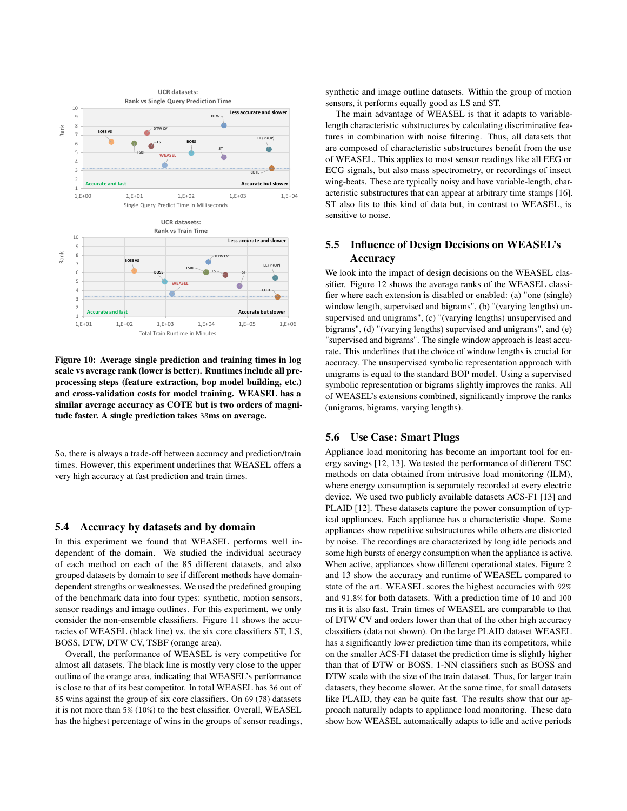<span id="page-7-2"></span>

Figure 10: Average single prediction and training times in log scale vs average rank (lower is better). Runtimes include all preprocessing steps (feature extraction, bop model building, etc.) and cross-validation costs for model training. WEASEL has a similar average accuracy as COTE but is two orders of magnitude faster. A single prediction takes 38ms on average.

So, there is always a trade-off between accuracy and prediction/train times. However, this experiment underlines that WEASEL offers a very high accuracy at fast prediction and train times.

#### 5.4 Accuracy by datasets and by domain

In this experiment we found that WEASEL performs well independent of the domain. We studied the individual accuracy of each method on each of the 85 different datasets, and also grouped datasets by domain to see if different methods have domaindependent strengths or weaknesses. We used the predefined grouping of the benchmark data into four types: synthetic, motion sensors, sensor readings and image outlines. For this experiment, we only consider the non-ensemble classifiers. Figure [11](#page-8-10) shows the accuracies of WEASEL (black line) vs. the six core classifiers ST, LS, BOSS, DTW, DTW CV, TSBF (orange area).

Overall, the performance of WEASEL is very competitive for almost all datasets. The black line is mostly very close to the upper outline of the orange area, indicating that WEASEL's performance is close to that of its best competitor. In total WEASEL has 36 out of 85 wins against the group of six core classifiers. On 69 (78) datasets it is not more than 5% (10%) to the best classifier. Overall, WEASEL has the highest percentage of wins in the groups of sensor readings,

synthetic and image outline datasets. Within the group of motion sensors, it performs equally good as LS and ST.

The main advantage of WEASEL is that it adapts to variablelength characteristic substructures by calculating discriminative features in combination with noise filtering. Thus, all datasets that are composed of characteristic substructures benefit from the use of WEASEL. This applies to most sensor readings like all EEG or ECG signals, but also mass spectrometry, or recordings of insect wing-beats. These are typically noisy and have variable-length, characteristic substructures that can appear at arbitrary time stamps [\[16\]](#page-9-31). ST also fits to this kind of data but, in contrast to WEASEL, is sensitive to noise.

# <span id="page-7-0"></span>5.5 Influence of Design Decisions on WEASEL's Accuracy

We look into the impact of design decisions on the WEASEL classifier. Figure [12](#page-8-11) shows the average ranks of the WEASEL classifier where each extension is disabled or enabled: (a) "one (single) window length, supervised and bigrams", (b) "(varying lengths) unsupervised and unigrams", (c) "(varying lengths) unsupervised and bigrams", (d) "(varying lengths) supervised and unigrams", and (e) "supervised and bigrams". The single window approach is least accurate. This underlines that the choice of window lengths is crucial for accuracy. The unsupervised symbolic representation approach with unigrams is equal to the standard BOP model. Using a supervised symbolic representation or bigrams slightly improves the ranks. All of WEASEL's extensions combined, significantly improve the ranks (unigrams, bigrams, varying lengths).

#### <span id="page-7-1"></span>5.6 Use Case: Smart Plugs

Appliance load monitoring has become an important tool for energy savings [\[12,](#page-9-5) [13\]](#page-9-6). We tested the performance of different TSC methods on data obtained from intrusive load monitoring (ILM), where energy consumption is separately recorded at every electric device. We used two publicly available datasets ACS-F1 [\[13\]](#page-9-6) and PLAID [\[12\]](#page-9-5). These datasets capture the power consumption of typical appliances. Each appliance has a characteristic shape. Some appliances show repetitive substructures while others are distorted by noise. The recordings are characterized by long idle periods and some high bursts of energy consumption when the appliance is active. When active, appliances show different operational states. Figure [2](#page-1-0) and [13](#page-9-32) show the accuracy and runtime of WEASEL compared to state of the art. WEASEL scores the highest accuracies with 92% and <sup>91</sup>.8% for both datasets. With a prediction time of <sup>10</sup> and <sup>100</sup> ms it is also fast. Train times of WEASEL are comparable to that of DTW CV and orders lower than that of the other high accuracy classifiers (data not shown). On the large PLAID dataset WEASEL has a significantly lower prediction time than its competitors, while on the smaller ACS-F1 dataset the prediction time is slightly higher than that of DTW or BOSS. 1-NN classifiers such as BOSS and DTW scale with the size of the train dataset. Thus, for larger train datasets, they become slower. At the same time, for small datasets like PLAID, they can be quite fast. The results show that our approach naturally adapts to appliance load monitoring. These data show how WEASEL automatically adapts to idle and active periods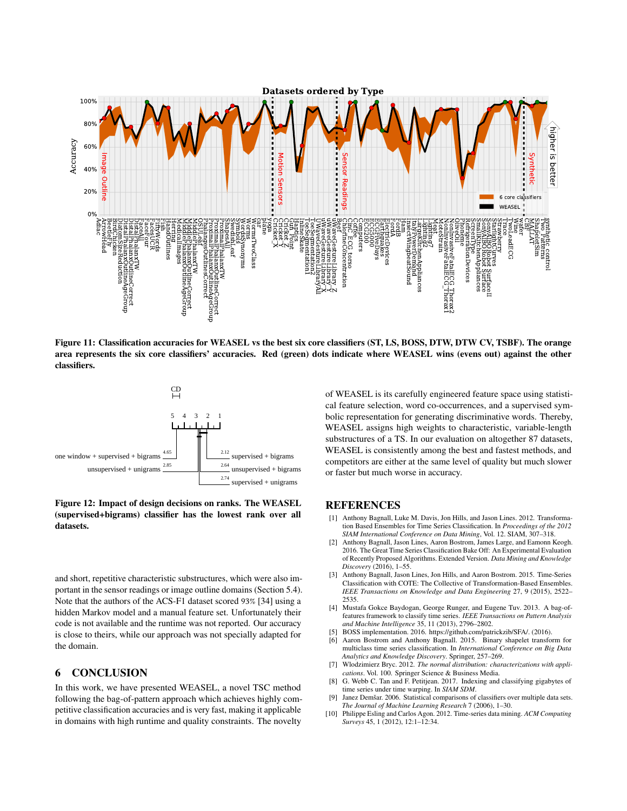<span id="page-8-10"></span>

Figure 11: Classification accuracies for WEASEL vs the best six core classifiers (ST, LS, BOSS, DTW, DTW CV, TSBF). The orange area represents the six core classifiers' accuracies. Red (green) dots indicate where WEASEL wins (evens out) against the other classifiers.

<span id="page-8-11"></span>

Figure 12: Impact of design decisions on ranks. The WEASEL (supervised+bigrams) classifier has the lowest rank over all datasets.

and short, repetitive characteristic substructures, which were also important in the sensor readings or image outline domains (Section 5.4). Note that the authors of the ACS-F1 dataset scored 93% [\[34\]](#page-9-33) using a hidden Markov model and a manual feature set. Unfortunately their code is not available and the runtime was not reported. Our accuracy is close to theirs, while our approach was not specially adapted for the domain.

#### 6 CONCLUSION

In this work, we have presented WEASEL, a novel TSC method following the bag-of-pattern approach which achieves highly competitive classification accuracies and is very fast, making it applicable in domains with high runtime and quality constraints. The novelty

of WEASEL is its carefully engineered feature space using statistical feature selection, word co-occurrences, and a supervised symbolic representation for generating discriminative words. Thereby, WEASEL assigns high weights to characteristic, variable-length substructures of a TS. In our evaluation on altogether 87 datasets, WEASEL is consistently among the best and fastest methods, and competitors are either at the same level of quality but much slower or faster but much worse in accuracy.

## **REFERENCES**

- <span id="page-8-8"></span>[1] Anthony Bagnall, Luke M. Davis, Jon Hills, and Jason Lines, 2012. Transformation Based Ensembles for Time Series Classification. In *Proceedings of the 2012 SIAM International Conference on Data Mining*, Vol. 12. SIAM, 307–318.
- <span id="page-8-1"></span>[2] Anthony Bagnall, Jason Lines, Aaron Bostrom, James Large, and Eamonn Keogh. 2016. The Great Time Series Classification Bake Off: An Experimental Evaluation of Recently Proposed Algorithms. Extended Version. *Data Mining and Knowledge Discovery* (2016), 1–55.
- <span id="page-8-3"></span>[3] Anthony Bagnall, Jason Lines, Jon Hills, and Aaron Bostrom. 2015. Time-Series Classification with COTE: The Collective of Transformation-Based Ensembles. *IEEE Transactions on Knowledge and Data Engineering* 27, 9 (2015), 2522– 2535.
- <span id="page-8-5"></span>[4] Mustafa Gokce Baydogan, George Runger, and Eugene Tuv. 2013. A bag-offeatures framework to classify time series. *IEEE Transactions on Pattern Analysis and Machine Intelligence* 35, 11 (2013), 2796–2802.
- <span id="page-8-7"></span>[5] BOSS implementation. 2016. [https://github.com/patrickzib/SFA/.](https://github.com/patrickzib/SFA/) (2016).
- <span id="page-8-2"></span>Aaron Bostrom and Anthony Bagnall. 2015. Binary shapelet transform for multiclass time series classification. In *International Conference on Big Data Analytics and Knowledge Discovery*. Springer, 257–269.
- <span id="page-8-6"></span>[7] Wlodzimierz Bryc. 2012. *The normal distribution: characterizations with applications*. Vol. 100. Springer Science & Business Media.
- <span id="page-8-4"></span>[8] G. Webb C. Tan and F. Petitjean. 2017. Indexing and classifying gigabytes of time series under time warping. In *SIAM SDM*.
- <span id="page-8-9"></span>Janez Demšar. 2006. Statistical comparisons of classifiers over multiple data sets. *The Journal of Machine Learning Research* 7 (2006), 1–30.
- <span id="page-8-0"></span>[10] Philippe Esling and Carlos Agon. 2012. Time-series data mining. *ACM Computing Surveys* 45, 1 (2012), 12:1–12:34.